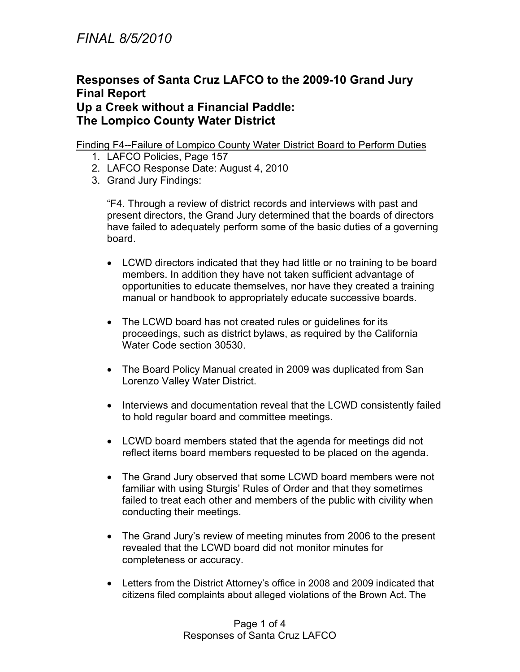# **Responses of Santa Cruz LAFCO to the 2009-10 Grand Jury Final Report**

### **Up a Creek without a Financial Paddle: The Lompico County Water District**

### Finding F4--Failure of Lompico County Water District Board to Perform Duties

- 1. LAFCO Policies, Page 157
- 2. LAFCO Response Date: August 4, 2010
- 3. Grand Jury Findings:

"F4. Through a review of district records and interviews with past and present directors, the Grand Jury determined that the boards of directors have failed to adequately perform some of the basic duties of a governing board.

- LCWD directors indicated that they had little or no training to be board members. In addition they have not taken sufficient advantage of opportunities to educate themselves, nor have they created a training manual or handbook to appropriately educate successive boards.
- The LCWD board has not created rules or guidelines for its proceedings, such as district bylaws, as required by the California Water Code section 30530.
- The Board Policy Manual created in 2009 was duplicated from San Lorenzo Valley Water District.
- Interviews and documentation reveal that the LCWD consistently failed to hold regular board and committee meetings.
- LCWD board members stated that the agenda for meetings did not reflect items board members requested to be placed on the agenda.
- The Grand Jury observed that some LCWD board members were not familiar with using Sturgis' Rules of Order and that they sometimes failed to treat each other and members of the public with civility when conducting their meetings.
- $\bullet$  The Grand Jury's review of meeting minutes from 2006 to the present revealed that the LCWD board did not monitor minutes for completeness or accuracy.
- Letters from the District Attorney's office in 2008 and 2009 indicated that citizens filed complaints about alleged violations of the Brown Act. The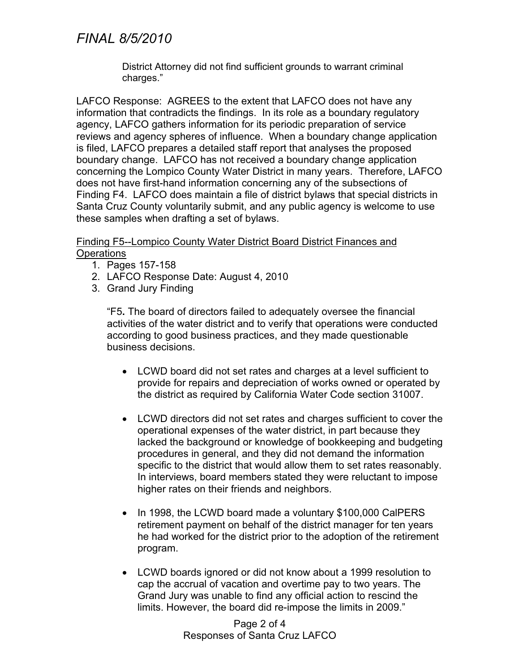# *FINAL 8/5/2010*

District Attorney did not find sufficient grounds to warrant criminal charges."

LAFCO Response: AGREES to the extent that LAFCO does not have any information that contradicts the findings. In its role as a boundary regulatory agency, LAFCO gathers information for its periodic preparation of service reviews and agency spheres of influence. When a boundary change application is filed, LAFCO prepares a detailed staff report that analyses the proposed boundary change. LAFCO has not received a boundary change application concerning the Lompico County Water District in many years. Therefore, LAFCO does not have first-hand information concerning any of the subsections of Finding F4. LAFCO does maintain a file of district bylaws that special districts in Santa Cruz County voluntarily submit, and any public agency is welcome to use these samples when drafting a set of bylaws.

#### Finding F5--Lompico County Water District Board District Finances and **Operations**

- 1. Pages 157-158
- 2. LAFCO Response Date: August 4, 2010
- 3. Grand Jury Finding

"F5**.** The board of directors failed to adequately oversee the financial activities of the water district and to verify that operations were conducted according to good business practices, and they made questionable business decisions.

- LCWD board did not set rates and charges at a level sufficient to provide for repairs and depreciation of works owned or operated by the district as required by California Water Code section 31007.
- LCWD directors did not set rates and charges sufficient to cover the operational expenses of the water district, in part because they lacked the background or knowledge of bookkeeping and budgeting procedures in general, and they did not demand the information specific to the district that would allow them to set rates reasonably. In interviews, board members stated they were reluctant to impose higher rates on their friends and neighbors.
- $\bullet$  In 1998, the LCWD board made a voluntary \$100,000 CalPERS retirement payment on behalf of the district manager for ten years he had worked for the district prior to the adoption of the retirement program.
- LCWD boards ignored or did not know about a 1999 resolution to cap the accrual of vacation and overtime pay to two years. The Grand Jury was unable to find any official action to rescind the limits. However, the board did re-impose the limits in 2009."

Page 2 of 4 Responses of Santa Cruz LAFCO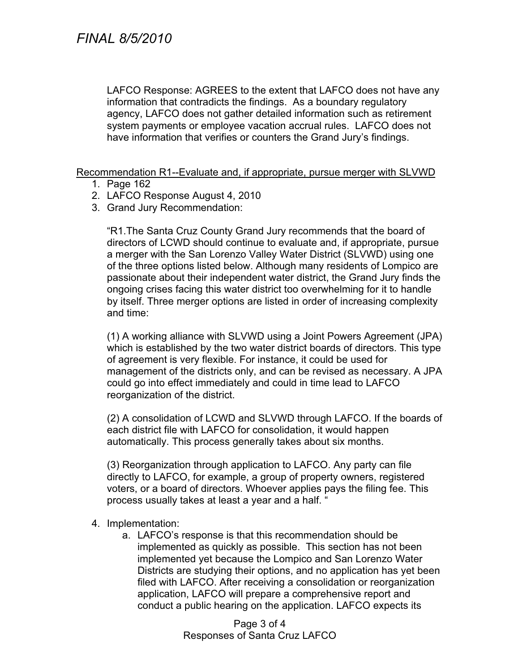LAFCO Response: AGREES to the extent that LAFCO does not have any information that contradicts the findings. As a boundary regulatory agency, LAFCO does not gather detailed information such as retirement system payments or employee vacation accrual rules. LAFCO does not have information that verifies or counters the Grand Jury's findings.

Recommendation R1--Evaluate and, if appropriate, pursue merger with SLVWD

- 1. Page 162
- 2. LAFCO Response August 4, 2010
- 3. Grand Jury Recommendation:

"R1.The Santa Cruz County Grand Jury recommends that the board of directors of LCWD should continue to evaluate and, if appropriate, pursue a merger with the San Lorenzo Valley Water District (SLVWD) using one of the three options listed below. Although many residents of Lompico are passionate about their independent water district, the Grand Jury finds the ongoing crises facing this water district too overwhelming for it to handle by itself. Three merger options are listed in order of increasing complexity and time:

(1) A working alliance with SLVWD using a Joint Powers Agreement (JPA) which is established by the two water district boards of directors. This type of agreement is very flexible. For instance, it could be used for management of the districts only, and can be revised as necessary. A JPA could go into effect immediately and could in time lead to LAFCO reorganization of the district.

(2) A consolidation of LCWD and SLVWD through LAFCO. If the boards of each district file with LAFCO for consolidation, it would happen automatically. This process generally takes about six months.

(3) Reorganization through application to LAFCO. Any party can file directly to LAFCO, for example, a group of property owners, registered voters, or a board of directors. Whoever applies pays the filing fee. This process usually takes at least a year and a half. "

#### 4. Implementation:

a. LAFCO's response is that this recommendation should be implemented as quickly as possible. This section has not been implemented yet because the Lompico and San Lorenzo Water Districts are studying their options, and no application has yet been filed with LAFCO. After receiving a consolidation or reorganization application, LAFCO will prepare a comprehensive report and conduct a public hearing on the application. LAFCO expects its

> Page 3 of 4 Responses of Santa Cruz LAFCO